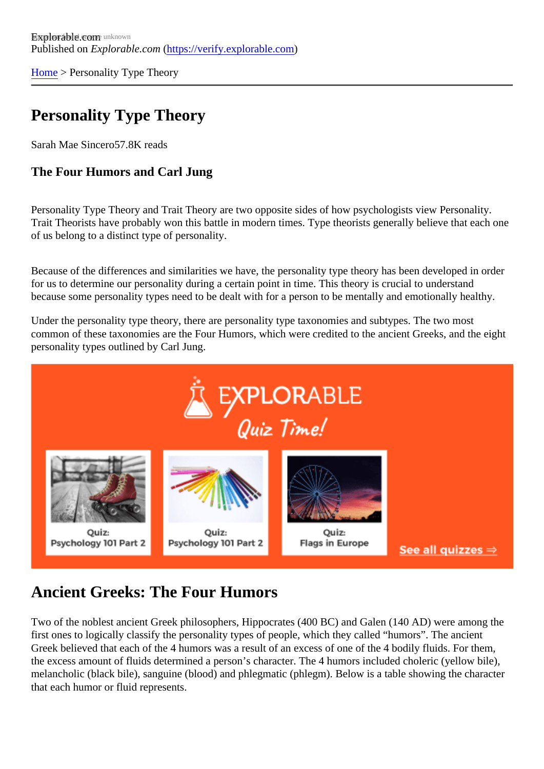[Home](https://verify.explorable.com/)> Personality Type Theory

## Personality Type Theory

Sarah Mae Sinceto7.8K reads

The Four Humors and Carl Jung

Personality Type Theory and Trait Theory are two opposite sides of how psychologists view Personality. Trait Theorists have probably won this battle in modern times. Type theorists generally believe that each on of us belong to a distinct type of personality.

Because of the differences and similarities we have, the personality type theory has been developed in order for us to determine our personality during a certain point in time. This theory is crucial to understand because some personality types need to be dealt with for a person to be mentally and emotionally healthy

Under the personality type theory, there are personality type taxonomies and subtypes. The two most common of these taxonomies are the Four Humors, which were credited to the ancient Greeks, and the ei personality types outlined by Carl Jung.

## Ancient Greeks: The Four Humors

Two of the noblest ancient Greek philosophers, Hippocrates (400 BC) and Galen (140 AD) were among the first ones to logically classify the personality types of people, which they called "humors". The ancient Greek believed that each of the 4 humors was a result of an excess of one of the 4 bodily fluids. For them, the excess amount of fluids determined a person's character. The 4 humors included choleric (yellow bile) melancholic (black bile), sanguine (blood) and phlegmatic (phlegm). Below is a table showing the character that each humor or fluid represents.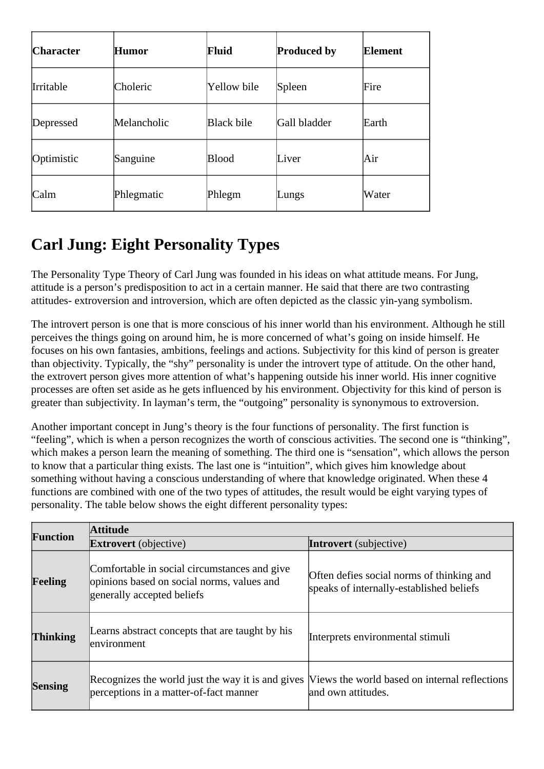| <b>Character</b> | Humor       | Fluid        | <b>Produced by</b> | Element |
|------------------|-------------|--------------|--------------------|---------|
| <b>Irritable</b> | Choleric    | Yellow bile  | Spleen             | Fire    |
| Depressed        | Melancholic | Black bile   | Gall bladder       | Earth   |
| Optimistic       | Sanguine    | <b>Blood</b> | Liver              | Air     |
| Calm             | Phlegmatic  | Phlegm       | Lungs              | Water   |

## **Carl Jung: Eight Personality Types**

The Personality Type Theory of Carl Jung was founded in his ideas on what attitude means. For Jung, attitude is a person's predisposition to act in a certain manner. He said that there are two contrasting attitudes- extroversion and introversion, which are often depicted as the classic yin-yang symbolism.

The introvert person is one that is more conscious of his inner world than his environment. Although he still perceives the things going on around him, he is more concerned of what's going on inside himself. He focuses on his own fantasies, ambitions, feelings and actions. Subjectivity for this kind of person is greater than objectivity. Typically, the "shy" personality is under the introvert type of attitude. On the other hand, the extrovert person gives more attention of what's happening outside his inner world. His inner cognitive processes are often set aside as he gets influenced by his environment. Objectivity for this kind of person is greater than subjectivity. In layman's term, the "outgoing" personality is synonymous to extroversion.

Another important concept in Jung's theory is the four functions of personality. The first function is "feeling", which is when a person recognizes the worth of conscious activities. The second one is "thinking", which makes a person learn the meaning of something. The third one is "sensation", which allows the person to know that a particular thing exists. The last one is "intuition", which gives him knowledge about something without having a conscious understanding of where that knowledge originated. When these 4 functions are combined with one of the two types of attitudes, the result would be eight varying types of personality. The table below shows the eight different personality types:

| Function       | <b>Attitude</b>                                                                                                                           |                                                                                       |  |  |  |
|----------------|-------------------------------------------------------------------------------------------------------------------------------------------|---------------------------------------------------------------------------------------|--|--|--|
|                | <b>Extrovert</b> (objective)                                                                                                              | <b>Introvert</b> (subjective)                                                         |  |  |  |
| Feeling        | Comfortable in social circumstances and give<br>opinions based on social norms, values and<br>generally accepted beliefs                  | Often defies social norms of thinking and<br>speaks of internally-established beliefs |  |  |  |
| Thinking       | Learns abstract concepts that are taught by his<br>environment                                                                            | Interprets environmental stimuli                                                      |  |  |  |
| <b>Sensing</b> | Recognizes the world just the way it is and gives Views the world based on internal reflections<br>perceptions in a matter-of-fact manner | and own attitudes.                                                                    |  |  |  |